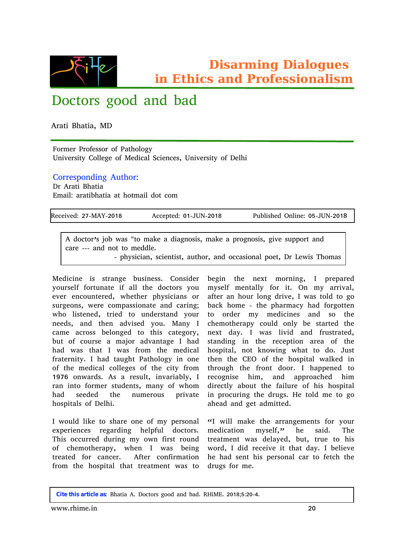

**Disarming Dialogues in Ethics and Professionalism**

## Doctors good and bad

Arati Bhatia, MD

Former Professor of Pathology University College of Medical Sciences, University of Delhi

## Corresponding Author:

Dr Arati Bhatia Email: aratibhatia at hotmail dot com

| Received: 27-MAY-2018                                                                                      | Accepted: 01-JUN-2018 | Published Online: 05-JUN-2018 |
|------------------------------------------------------------------------------------------------------------|-----------------------|-------------------------------|
| A doctor's job was "to make a diagnosis, make a prognosis, give support and<br>care --- and not to meddle. |                       |                               |

- physician, scientist, author, and occasional poet, Dr Lewis Thomas

Medicine is strange business. Consider yourself fortunate if all the doctors you ever encountered, whether physicians or surgeons, were compassionate and caring; who listened, tried to understand your needs, and then advised you. Many I came across belonged to this category, but of course a major advantage I had had was that I was from the medical fraternity. I had taught Pathology in one of the medical colleges of the city from 1976 onwards. As a result, invariably, I ran into former students, many of whom had seeded the numerous private hospitals of Delhi.

I would like to share one of my personal experiences regarding helpful doctors. This occurred during my own first round of chemotherapy, when I was being treated for cancer. After confirmation from the hospital that treatment was to

begin the next morning, I prepared myself mentally for it. On my arrival, after an hour long drive, I was told to go back home - the pharmacy had forgotten to order my medicines and so the chemotherapy could only be started the next day. I was livid and frustrated, standing in the reception area of the hospital, not knowing what to do. Just then the CEO of the hospital walked in through the front door. I happened to recognise him, and approached him directly about the failure of his hospital in procuring the drugs. He told me to go ahead and get admitted.

"I will make the arrangements for your medication myself," he said. The treatment was delayed, but, true to his word, I did receive it that day. I believe he had sent his personal car to fetch the drugs for me.

**Cite this article as**: Bhatia A. Doctors good and bad. RHiME. 2018;5:20-4.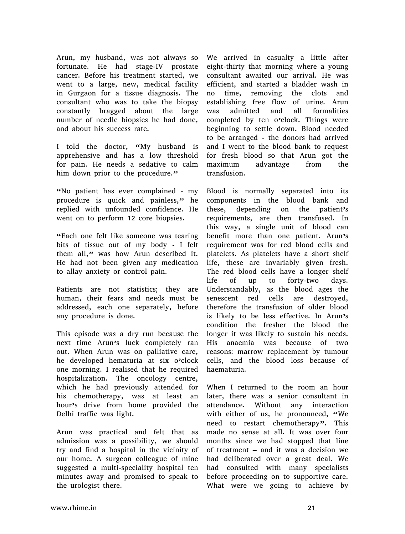Arun, my husband, was not always so fortunate. He had stage-IV prostate cancer. Before his treatment started, we went to a large, new, medical facility in Gurgaon for a tissue diagnosis. The consultant who was to take the biopsy constantly bragged about the large number of needle biopsies he had done, and about his success rate.

I told the doctor, "My husband is apprehensive and has a low threshold for pain. He needs a sedative to calm him down prior to the procedure."

"No patient has ever complained - my procedure is quick and painless," he replied with unfounded confidence. He went on to perform 12 core biopsies.

"Each one felt like someone was tearing bits of tissue out of my body - I felt them all," was how Arun described it. He had not been given any medication to allay anxiety or control pain.

Patients are not statistics; they are human, their fears and needs must be addressed, each one separately, before any procedure is done.

This episode was a dry run because the next time Arun's luck completely ran out. When Arun was on palliative care, he developed hematuria at six o'clock one morning. I realised that he required hospitalization. The oncology centre, which he had previously attended for his chemotherapy, was at least an hour's drive from home provided the Delhi traffic was light.

Arun was practical and felt that as admission was a possibility, we should try and find a hospital in the vicinity of our home. A surgeon colleague of mine suggested a multi-speciality hospital ten minutes away and promised to speak to the urologist there.

We arrived in casualty a little after eight-thirty that morning where a young consultant awaited our arrival. He was efficient, and started a bladder wash in no time, removing the clots and establishing free flow of urine. Arun was admitted and all formalities completed by ten o'clock. Things were beginning to settle down. Blood needed to be arranged - the donors had arrived and I went to the blood bank to request for fresh blood so that Arun got the maximum advantage from the transfusion.

Blood is normally separated into its components in the blood bank and these, depending on the patient's requirements, are then transfused. In this way, a single unit of blood can benefit more than one patient. Arun's requirement was for red blood cells and platelets. As platelets have a short shelf life, these are invariably given fresh. The red blood cells have a longer shelf life of up to forty-two days. Understandably, as the blood ages the senescent red cells are destroyed, therefore the transfusion of older blood is likely to be less effective. In Arun's condition the fresher the blood the longer it was likely to sustain his needs. His anaemia was because of two reasons: marrow replacement by tumour cells, and the blood loss because of haematuria.

When I returned to the room an hour later, there was a senior consultant in attendance. Without any interaction with either of us, he pronounced, "We need to restart chemotherapy". This made no sense at all. It was over four months since we had stopped that line of treatment – and it was a decision we had deliberated over a great deal. We had consulted with many specialists before proceeding on to supportive care. What were we going to achieve by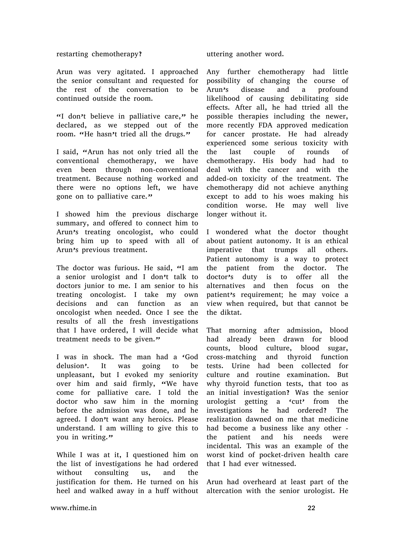## restarting chemotherapy?

Arun was very agitated. I approached the senior consultant and requested for the rest of the conversation to be continued outside the room.

"I don't believe in palliative care," he declared, as we stepped out of the room. "He hasn't tried all the drugs."

I said, "Arun has not only tried all the conventional chemotherapy, we have even been through non-conventional treatment. Because nothing worked and there were no options left, we have gone on to palliative care."

I showed him the previous discharge summary, and offered to connect him to Arun's treating oncologist, who could bring him up to speed with all of Arun's previous treatment.

The doctor was furious. He said, "I am a senior urologist and I don't talk to doctors junior to me. I am senior to his treating oncologist. I take my own decisions and can function as an oncologist when needed. Once I see the results of all the fresh investigations that I have ordered, I will decide what treatment needs to be given."

I was in shock. The man had a 'God delusion'. It was going to be unpleasant, but I evoked my seniority over him and said firmly, "We have come for palliative care. I told the doctor who saw him in the morning before the admission was done, and he agreed. I don't want any heroics. Please understand. I am willing to give this to you in writing."

While I was at it, I questioned him on the list of investigations he had ordered without consulting us, and the justification for them. He turned on his heel and walked away in a huff without

uttering another word.

Any further chemotherapy had little possibility of changing the course of Arun's disease and a profound likelihood of causing debilitating side effects. After all, he had ttried all the possible therapies including the newer, more recently FDA approved medication for cancer prostate. He had already experienced some serious toxicity with the last couple of rounds of chemotherapy. His body had had to deal with the cancer and with the added-on toxicity of the treatment. The chemotherapy did not achieve anything except to add to his woes making his condition worse. He may well live longer without it.

I wondered what the doctor thought about patient autonomy. It is an ethical imperative that trumps all others. Patient autonomy is a way to protect the patient from the doctor. The doctor's duty is to offer all the alternatives and then focus on the patient's requirement; he may voice a view when required, but that cannot be the diktat.

That morning after admission, blood had already been drawn for blood counts, blood culture, blood sugar, cross-matching and thyroid function tests. Urine had been collected for culture and routine examination. But why thyroid function tests, that too as an initial investigation? Was the senior urologist getting a 'cut' from the investigations he had ordered? The realization dawned on me that medicine had become a business like any other the patient and his needs were incidental. This was an example of the worst kind of pocket-driven health care that I had ever witnessed.

Arun had overheard at least part of the altercation with the senior urologist. He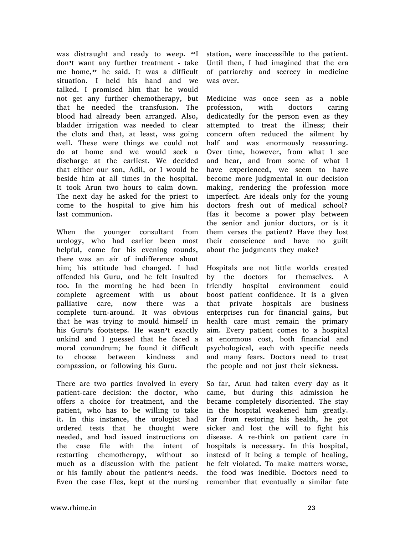was distraught and ready to weep. "I don't want any further treatment - take me home." he said. It was a difficult situation. I held his hand and we talked. I promised him that he would not get any further chemotherapy, but that he needed the transfusion. The blood had already been arranged. Also, bladder irrigation was needed to clear the clots and that, at least, was going well. These were things we could not do at home and we would seek a discharge at the earliest. We decided that either our son, Adil, or I would be beside him at all times in the hospital. It took Arun two hours to calm down. The next day he asked for the priest to come to the hospital to give him his last communion.

When the younger consultant from urology, who had earlier been most helpful, came for his evening rounds, there was an air of indifference about him; his attitude had changed. I had offended his Guru, and he felt insulted too. In the morning he had been in complete agreement with us about palliative care, now there was a complete turn-around. It was obvious that he was trying to mould himself in his Guru's footsteps. He wasn't exactly unkind and I guessed that he faced a moral conundrum; he found it difficult to choose between kindness and compassion, or following his Guru.

There are two parties involved in every patient-care decision: the doctor, who offers a choice for treatment, and the patient, who has to be willing to take it. In this instance, the urologist had ordered tests that he thought were needed, and had issued instructions on the case file with the intent of restarting chemotherapy, without so much as a discussion with the patient or his family about the patient's needs. Even the case files, kept at the nursing

station, were inaccessible to the patient. Until then, I had imagined that the era of patriarchy and secrecy in medicine was over.

Medicine was once seen as a noble profession, with doctors caring dedicatedly for the person even as they attempted to treat the illness; their concern often reduced the ailment by half and was enormously reassuring. Over time, however, from what I see and hear, and from some of what I have experienced, we seem to have become more judgmental in our decision making, rendering the profession more imperfect. Are ideals only for the young doctors fresh out of medical school? Has it become a power play between the senior and junior doctors, or is it them verses the patient? Have they lost their conscience and have no guilt about the judgments they make?

Hospitals are not little worlds created by the doctors for themselves. A friendly hospital environment could boost patient confidence. It is a given that private hospitals are business enterprises run for financial gains, but health care must remain the primary aim. Every patient comes to a hospital at enormous cost, both financial and psychological, each with specific needs and many fears. Doctors need to treat the people and not just their sickness.

So far, Arun had taken every day as it came, but during this admission he became completely disoriented. The stay in the hospital weakened him greatly. Far from restoring his health, he got sicker and lost the will to fight his disease. A re-think on patient care in hospitals is necessary. In this hospital, instead of it being a temple of healing, he felt violated. To make matters worse, the food was inedible. Doctors need to remember that eventually a similar fate